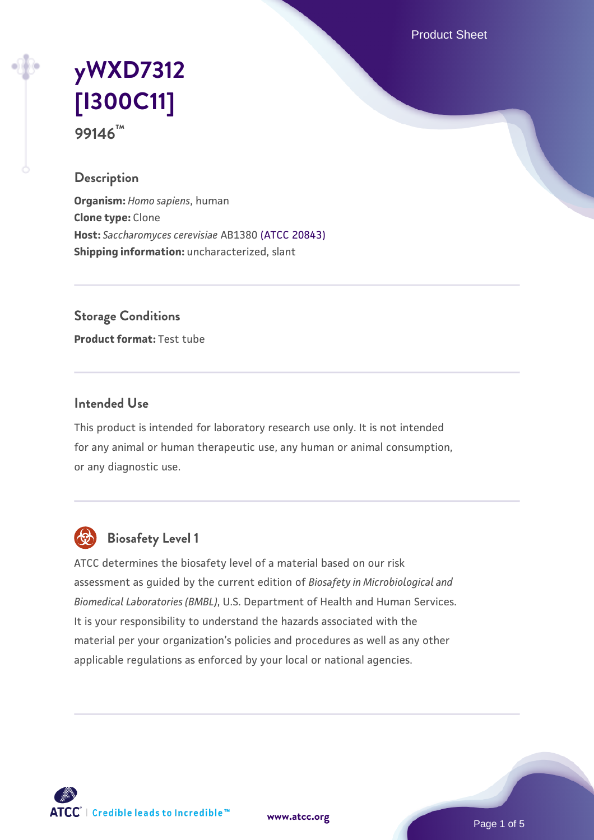Product Sheet

# **[yWXD7312](https://www.atcc.org/products/99146) [\[I300C11\]](https://www.atcc.org/products/99146) 99146™**

## **Description**

**Organism:** *Homo sapiens*, human **Clone type:** Clone **Host:** *Saccharomyces cerevisiae* AB1380 [\(ATCC 20843\)](https://www.atcc.org/products/20843) **Shipping information:** uncharacterized, slant

**Storage Conditions**

**Product format:** Test tube

## **Intended Use**

This product is intended for laboratory research use only. It is not intended for any animal or human therapeutic use, any human or animal consumption, or any diagnostic use.



## **Biosafety Level 1**

ATCC determines the biosafety level of a material based on our risk assessment as guided by the current edition of *Biosafety in Microbiological and Biomedical Laboratories (BMBL)*, U.S. Department of Health and Human Services. It is your responsibility to understand the hazards associated with the material per your organization's policies and procedures as well as any other applicable regulations as enforced by your local or national agencies.



**[www.atcc.org](http://www.atcc.org)**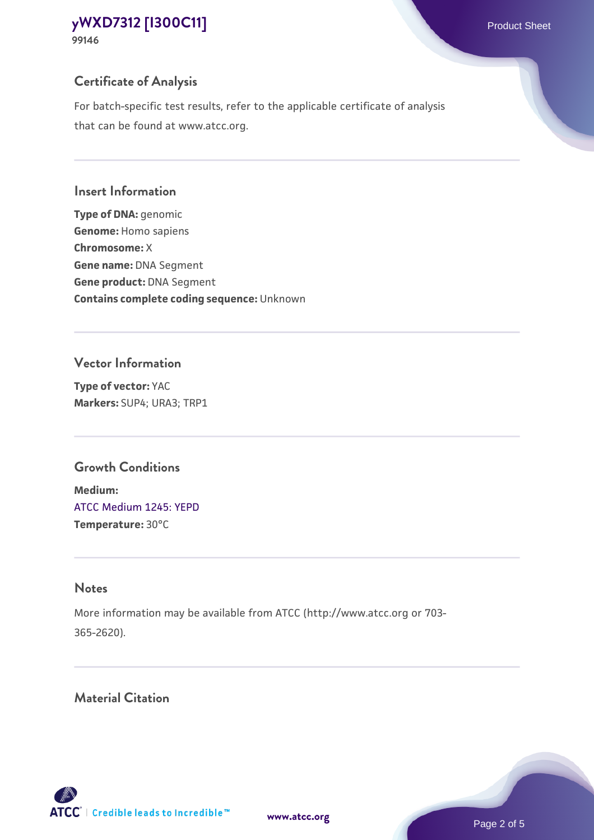## **Certificate of Analysis**

For batch-specific test results, refer to the applicable certificate of analysis that can be found at www.atcc.org.

#### **Insert Information**

**Type of DNA:** genomic **Genome:** Homo sapiens **Chromosome:** X **Gene name:** DNA Segment **Gene product:** DNA Segment **Contains complete coding sequence:** Unknown

## **Vector Information**

**Type of vector:** YAC **Markers:** SUP4; URA3; TRP1

## **Growth Conditions**

**Medium:**  [ATCC Medium 1245: YEPD](https://www.atcc.org/-/media/product-assets/documents/microbial-media-formulations/1/2/4/5/atcc-medium-1245.pdf?rev=705ca55d1b6f490a808a965d5c072196) **Temperature:** 30°C

## **Notes**

More information may be available from ATCC (http://www.atcc.org or 703- 365-2620).

## **Material Citation**

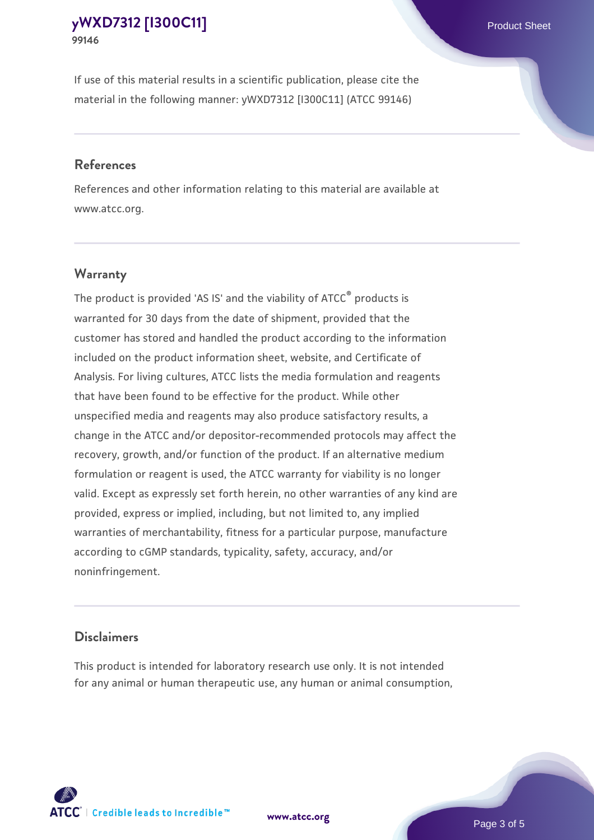If use of this material results in a scientific publication, please cite the material in the following manner: yWXD7312 [I300C11] (ATCC 99146)

#### **References**

References and other information relating to this material are available at www.atcc.org.

## **Warranty**

The product is provided 'AS IS' and the viability of  $ATCC<sup>®</sup>$  products is warranted for 30 days from the date of shipment, provided that the customer has stored and handled the product according to the information included on the product information sheet, website, and Certificate of Analysis. For living cultures, ATCC lists the media formulation and reagents that have been found to be effective for the product. While other unspecified media and reagents may also produce satisfactory results, a change in the ATCC and/or depositor-recommended protocols may affect the recovery, growth, and/or function of the product. If an alternative medium formulation or reagent is used, the ATCC warranty for viability is no longer valid. Except as expressly set forth herein, no other warranties of any kind are provided, express or implied, including, but not limited to, any implied warranties of merchantability, fitness for a particular purpose, manufacture according to cGMP standards, typicality, safety, accuracy, and/or noninfringement.

#### **Disclaimers**

This product is intended for laboratory research use only. It is not intended for any animal or human therapeutic use, any human or animal consumption,



**[www.atcc.org](http://www.atcc.org)**

Page 3 of 5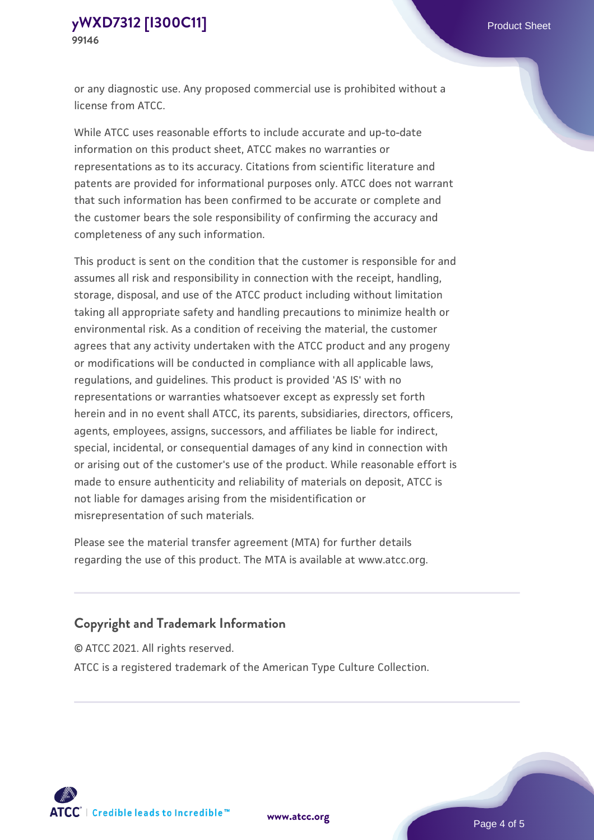or any diagnostic use. Any proposed commercial use is prohibited without a license from ATCC.

While ATCC uses reasonable efforts to include accurate and up-to-date information on this product sheet, ATCC makes no warranties or representations as to its accuracy. Citations from scientific literature and patents are provided for informational purposes only. ATCC does not warrant that such information has been confirmed to be accurate or complete and the customer bears the sole responsibility of confirming the accuracy and completeness of any such information.

This product is sent on the condition that the customer is responsible for and assumes all risk and responsibility in connection with the receipt, handling, storage, disposal, and use of the ATCC product including without limitation taking all appropriate safety and handling precautions to minimize health or environmental risk. As a condition of receiving the material, the customer agrees that any activity undertaken with the ATCC product and any progeny or modifications will be conducted in compliance with all applicable laws, regulations, and guidelines. This product is provided 'AS IS' with no representations or warranties whatsoever except as expressly set forth herein and in no event shall ATCC, its parents, subsidiaries, directors, officers, agents, employees, assigns, successors, and affiliates be liable for indirect, special, incidental, or consequential damages of any kind in connection with or arising out of the customer's use of the product. While reasonable effort is made to ensure authenticity and reliability of materials on deposit, ATCC is not liable for damages arising from the misidentification or misrepresentation of such materials.

Please see the material transfer agreement (MTA) for further details regarding the use of this product. The MTA is available at www.atcc.org.

## **Copyright and Trademark Information**

© ATCC 2021. All rights reserved.

ATCC is a registered trademark of the American Type Culture Collection.



**[www.atcc.org](http://www.atcc.org)**